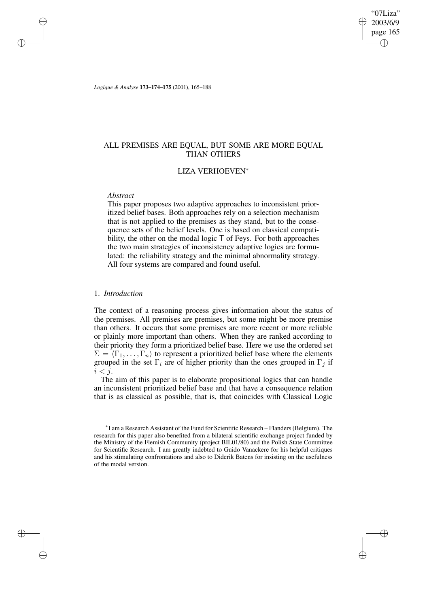$07L$ iza" 2003/6/9 page 165 ✐ ✐

✐

✐

*Logique & Analyse* **173–174–175** (2001), 165–188

# ALL PREMISES ARE EQUAL, BUT SOME ARE MORE EQUAL THAN OTHERS

# LIZA VERHOEVEN<sup>∗</sup>

## *Abstract*

✐

✐

✐

✐

This paper proposes two adaptive approaches to inconsistent prioritized belief bases. Both approaches rely on a selection mechanism that is not applied to the premises as they stand, but to the consequence sets of the belief levels. One is based on classical compatibility, the other on the modal logic  $\overline{T}$  of Feys. For both approaches the two main strategies of inconsistency adaptive logics are formulated: the reliability strategy and the minimal abnormality strategy. All four systems are compared and found useful.

## 1. *Introduction*

The context of a reasoning process gives information about the status of the premises. All premises are premises, but some might be more premise than others. It occurs that some premises are more recent or more reliable or plainly more important than others. When they are ranked according to their priority they form a prioritized belief base. Here we use the ordered set  $\Sigma = \langle \Gamma_1, \ldots, \Gamma_n \rangle$  to represent a prioritized belief base where the elements grouped in the set  $\Gamma_i$  are of higher priority than the ones grouped in  $\Gamma_i$  if  $i < j$ .

The aim of this paper is to elaborate propositional logics that can handle an inconsistent prioritized belief base and that have a consequence relation that is as classical as possible, that is, that coincides with Classical Logic

<sup>∗</sup> I am a Research Assistant of the Fund for Scientific Research – Flanders(Belgium). The research for this paper also benefited from a bilateral scientific exchange project funded by the Ministry of the Flemish Community (project BIL01/80) and the Polish State Committee for Scientific Research. I am greatly indebted to Guido Vanackere for his helpful critiques and his stimulating confrontations and also to Diderik Batens for insisting on the usefulness of the modal version.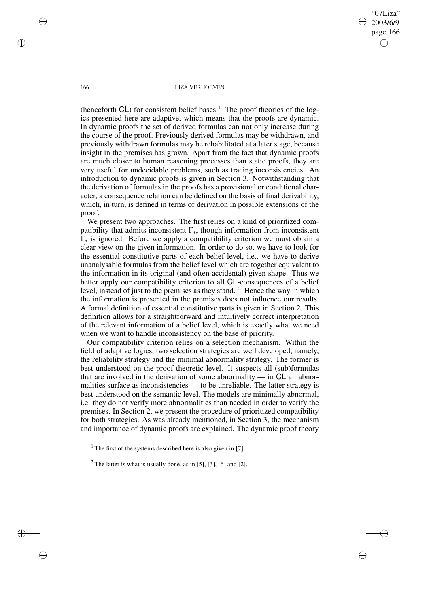$07L$ iza" 2003/6/9 page 166 ✐ ✐

✐

✐

### 166 LIZA VERHOEVEN

(henceforth  $CL$ ) for consistent belief bases.<sup>1</sup> The proof theories of the logics presented here are adaptive, which means that the proofs are dynamic. In dynamic proofs the set of derived formulas can not only increase during the course of the proof. Previously derived formulas may be withdrawn, and previously withdrawn formulas may be rehabilitated at a later stage, because insight in the premises has grown. Apart from the fact that dynamic proofs are much closer to human reasoning processes than static proofs, they are very useful for undecidable problems, such as tracing inconsistencies. An introduction to dynamic proofs is given in Section 3. Notwithstanding that the derivation of formulas in the proofs has a provisional or conditional character, a consequence relation can be defined on the basis of final derivability, which, in turn, is defined in terms of derivation in possible extensions of the proof.

We present two approaches. The first relies on a kind of prioritized compatibility that admits inconsistent  $\Gamma_i$ , though information from inconsistent  $\Gamma_i$  is ignored. Before we apply a compatibility criterion we must obtain a clear view on the given information. In order to do so, we have to look for the essential constitutive parts of each belief level, i.e., we have to derive unanalysable formulas from the belief level which are together equivalent to the information in its original (and often accidental) given shape. Thus we better apply our compatibility criterion to all CL-consequences of a belief level, instead of just to the premises as they stand. <sup>2</sup> Hence the way in which the information is presented in the premises does not influence our results. A formal definition of essential constitutive parts is given in Section 2. This definition allows for a straightforward and intuitively correct interpretation of the relevant information of a belief level, which is exactly what we need when we want to handle inconsistency on the base of priority.

Our compatibility criterion relies on a selection mechanism. Within the field of adaptive logics, two selection strategies are well developed, namely, the reliability strategy and the minimal abnormality strategy. The former is best understood on the proof theoretic level. It suspects all (sub)formulas that are involved in the derivation of some abnormality  $-$  in  $CL$  all abnormalities surface as inconsistencies — to be unreliable. The latter strategy is best understood on the semantic level. The models are minimally abnormal, i.e. they do not verify more abnormalities than needed in order to verify the premises. In Section 2, we present the procedure of prioritized compatibility for both strategies. As was already mentioned, in Section 3, the mechanism and importance of dynamic proofs are explained. The dynamic proof theory

✐

✐

✐

<sup>&</sup>lt;sup>1</sup> The first of the systems described here is also given in [7].

 $2$  The latter is what is usually done, as in [5], [3], [6] and [2].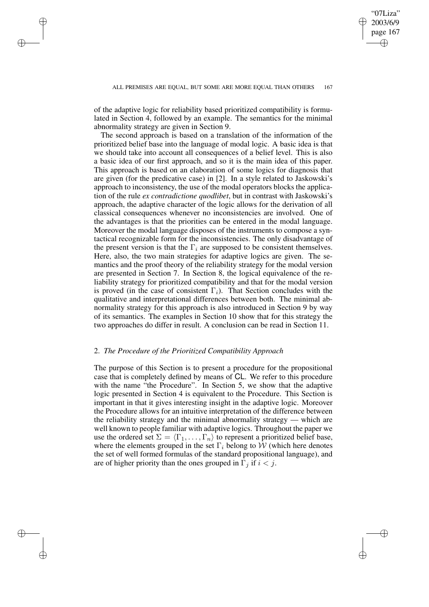✐

of the adaptive logic for reliability based prioritized compatibility is formulated in Section 4, followed by an example. The semantics for the minimal abnormality strategy are given in Section 9.

✐

✐

✐

✐

The second approach is based on a translation of the information of the prioritized belief base into the language of modal logic. A basic idea is that we should take into account all consequences of a belief level. This is also a basic idea of our first approach, and so it is the main idea of this paper. This approach is based on an elaboration of some logics for diagnosis that are given (for the predicative case) in [2]. In a style related to Jaskowski's approach to inconsistency, the use of the modal operators blocks the application of the rule *ex contradictione quodlibet*, but in contrast with Jaskowski's approach, the adaptive character of the logic allows for the derivation of all classical consequences whenever no inconsistencies are involved. One of the advantages is that the priorities can be entered in the modal language. Moreover the modal language disposes of the instruments to compose a syntactical recognizable form for the inconsistencies. The only disadvantage of the present version is that the  $\Gamma_i$  are supposed to be consistent themselves. Here, also, the two main strategies for adaptive logics are given. The semantics and the proof theory of the reliability strategy for the modal version are presented in Section 7. In Section 8, the logical equivalence of the reliability strategy for prioritized compatibility and that for the modal version is proved (in the case of consistent  $\Gamma_i$ ). That Section concludes with the qualitative and interpretational differences between both. The minimal abnormality strategy for this approach is also introduced in Section 9 by way of its semantics. The examples in Section 10 show that for this strategy the two approaches do differ in result. A conclusion can be read in Section 11.

# 2. *The Procedure of the Prioritized Compatibility Approach*

The purpose of this Section is to present a procedure for the propositional case that is completely defined by means of CL. We refer to this procedure with the name "the Procedure". In Section 5, we show that the adaptive logic presented in Section 4 is equivalent to the Procedure. This Section is important in that it gives interesting insight in the adaptive logic. Moreover the Procedure allows for an intuitive interpretation of the difference between the reliability strategy and the minimal abnormality strategy — which are well known to people familiar with adaptive logics. Throughout the paper we use the ordered set  $\Sigma = \langle \Gamma_1, \ldots, \Gamma_n \rangle$  to represent a prioritized belief base, where the elements grouped in the set  $\Gamma_i$  belong to W (which here denotes the set of well formed formulas of the standard propositional language), and are of higher priority than the ones grouped in  $\Gamma_i$  if  $i < j$ .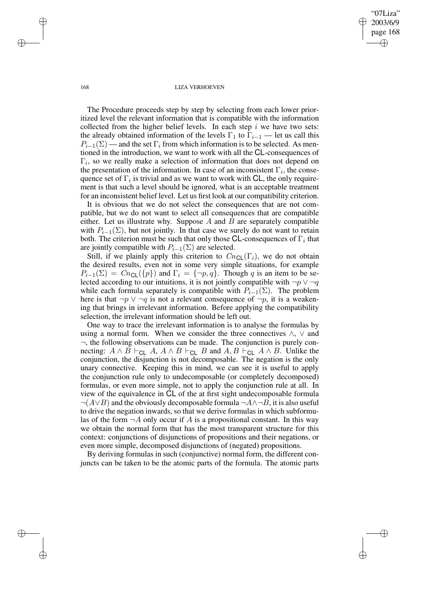"07Liza" 2003/6/9 page 168 ✐ ✐

✐

✐

### 168 LIZA VERHOEVEN

The Procedure proceeds step by step by selecting from each lower prioritized level the relevant information that is compatible with the information collected from the higher belief levels. In each step  $i$  we have two sets: the already obtained information of the levels  $\Gamma_1$  to  $\Gamma_{i-1}$  — let us call this  $P_{i-1}(\Sigma)$  — and the set  $\Gamma_i$  from which information is to be selected. As mentioned in the introduction, we want to work with all the CL-consequences of  $\Gamma_i$ , so we really make a selection of information that does not depend on the presentation of the information. In case of an inconsistent  $\Gamma_i$ , the consequence set of  $\Gamma_i$  is trivial and as we want to work with CL, the only requirement is that such a level should be ignored, what is an acceptable treatment for an inconsistent belief level. Let us first look at our compatibility criterion.

It is obvious that we do not select the consequences that are not compatible, but we do not want to select all consequences that are compatible either. Let us illustrate why. Suppose  $A$  and  $B$  are separately compatible with  $P_{i-1}(\Sigma)$ , but not jointly. In that case we surely do not want to retain both. The criterion must be such that only those CL-consequences of  $\Gamma_i$  that are jointly compatible with  $P_{i-1}(\Sigma)$  are selected.

Still, if we plainly apply this criterion to  $Cn_{\text{Cl}}(\Gamma_i)$ , we do not obtain the desired results, even not in some very simple situations, for example  $P_{i-1}(\Sigma) = Cn_{\text{CL}}(\{p\})$  and  $\Gamma_i = \{\neg p, q\}$ . Though q is an item to be selected according to our intuitions, it is not jointly compatible with  $\neg p \lor \neg q$ while each formula separately is compatible with  $P_{i-1}(\Sigma)$ . The problem here is that  $\neg p \lor \neg q$  is not a relevant consequence of  $\neg p$ , it is a weakening that brings in irrelevant information. Before applying the compatibility selection, the irrelevant information should be left out.

One way to trace the irrelevant information is to analyse the formulas by using a normal form. When we consider the three connectives  $\land$ ,  $\lor$  and  $\neg$ , the following observations can be made. The conjunction is purely connecting:  $A \wedge B \vdash_{CL} A$ ,  $A \wedge B \vdash_{CL} B$  and  $A$ ,  $B \vdash_{CL} A \wedge B$ . Unlike the conjunction, the disjunction is not decomposable. The negation is the only unary connective. Keeping this in mind, we can see it is useful to apply the conjunction rule only to undecomposable (or completely decomposed) formulas, or even more simple, not to apply the conjunction rule at all. In view of the equivalence in CL of the at first sight undecomposable formula  $\neg(A \lor B)$  and the obviously decomposable formula  $\neg A \land \neg B$ , it is also useful to drive the negation inwards, so that we derive formulas in which subformulas of the form  $\neg A$  only occur if A is a propositional constant. In this way we obtain the normal form that has the most transparent structure for this context: conjunctions of disjunctions of propositions and their negations, or even more simple, decomposed disjunctions of (negated) propositions.

By deriving formulas in such (conjunctive) normal form, the different conjuncts can be taken to be the atomic parts of the formula. The atomic parts

✐

✐

✐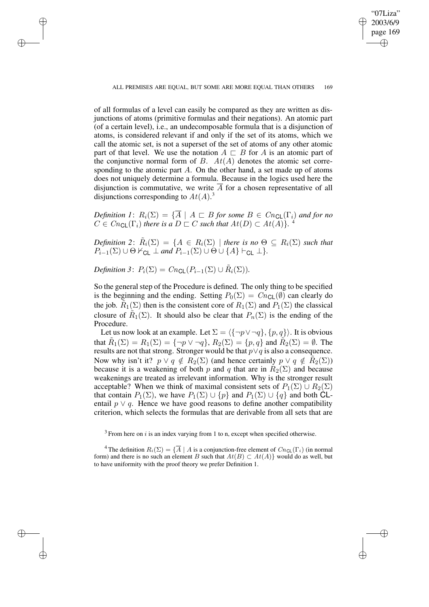✐

of all formulas of a level can easily be compared as they are written as disjunctions of atoms (primitive formulas and their negations). An atomic part (of a certain level), i.e., an undecomposable formula that is a disjunction of atoms, is considered relevant if and only if the set of its atoms, which we call the atomic set, is not a superset of the set of atoms of any other atomic part of that level. We use the notation  $A \sqsubset B$  for A is an atomic part of the conjunctive normal form of  $B$ .  $At(A)$  denotes the atomic set corresponding to the atomic part  $A$ . On the other hand, a set made up of atoms does not uniquely determine a formula. Because in the logics used here the disjunction is commutative, we write  $\overline{A}$  for a chosen representative of all disjunctions corresponding to  $At(A).$ <sup>3</sup>

*Definition 1*:  $R_i(\Sigma) = {\overline{A} \mid A \sqsubset B \text{ for some } B \in Cn_{\text{CL}}(\Gamma_i) \text{ and for no}}$  $C \in Cn_{\mathsf{CL}}(\Gamma_i)$  *there is a*  $D \sqsubset C$  *such that*  $At(D) \subset At(A)$ *}*. <sup>4</sup>

 $Definition\ 2:\ \tilde{R}_i(\Sigma) = \{A \in R_i(\Sigma) \mid \text{there is no } \Theta \subseteq R_i(\Sigma) \text{ such that }$  $P_{i-1}(\Sigma) \cup \Theta \nvdash_{\mathsf{CL}}' \bot \text{ and } P_{i-1}(\Sigma) \cup \Theta \cup \{A\} \vdash_{\mathsf{CL}} \bot\}.$ 

*Definition* 3:  $P_i(\Sigma) = Cn_{\text{CL}}(P_{i-1}(\Sigma) \cup \tilde{R}_i(\Sigma)).$ 

✐

✐

✐

✐

So the general step of the Procedure is defined. The only thing to be specified is the beginning and the ending. Setting  $P_0(\Sigma) = Cn_{\text{CL}}(\emptyset)$  can clearly do the job.  $\tilde{R}_1(\Sigma)$  then is the consistent core of  $R_1(\Sigma)$  and  $P_1(\Sigma)$  the classical closure of  $\tilde{R}_1(\Sigma)$ . It should also be clear that  $P_n(\Sigma)$  is the ending of the Procedure.

Let us now look at an example. Let  $\Sigma = \langle {\neg p \vee \neg q}, {p, q} \rangle$ . It is obvious that  $\tilde{R}_1(\Sigma) = R_1(\Sigma) = \{\neg p \lor \neg q\}, R_2(\Sigma) = \{p, q\}$  and  $\tilde{R}_2(\Sigma) = \emptyset$ . The results are not that strong. Stronger would be that  $p \lor q$  is also a consequence. Now why isn't it?  $p \lor q \notin R_2(\Sigma)$  (and hence certainly  $p \lor q \notin \widetilde{R}_2(\Sigma)$ ) because it is a weakening of both p and q that are in  $R_2(\Sigma)$  and because weakenings are treated as irrelevant information. Why is the stronger result acceptable? When we think of maximal consistent sets of  $P_1(\Sigma) \cup R_2(\Sigma)$ that contain  $P_1(\Sigma)$ , we have  $P_1(\Sigma) \cup \{p\}$  and  $P_1(\Sigma) \cup \{q\}$  and both CLentail  $p \vee q$ . Hence we have good reasons to define another compatibility criterion, which selects the formulas that are derivable from all sets that are

 $3$  From here on i is an index varying from 1 to n, except when specified otherwise.

<sup>4</sup> The definition  $R_i(\Sigma) = {\overline{A} \mid A$  is a conjunction-free element of  $Cn_{\text{CL}}(\Gamma_i)$  (in normal form) and there is no such an element B such that  $At(B) \subset At(A)$  would do as well, but to have uniformity with the proof theory we prefer Definition 1.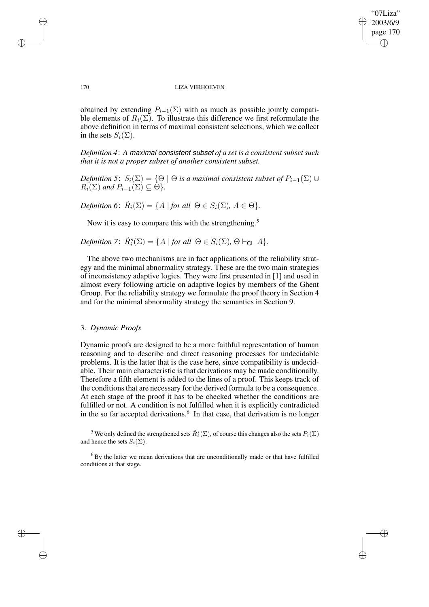✐

### 170 LIZA VERHOEVEN

obtained by extending  $P_{i-1}(\Sigma)$  with as much as possible jointly compatible elements of  $R_i(\Sigma)$ . To illustrate this difference we first reformulate the above definition in terms of maximal consistent selections, which we collect in the sets  $S_i(\Sigma)$ .

*Definition* 4: A maximal consistent subset of *a* set *is a consistent subset such that it is not a proper subset of another consistent subset.*

*Definition* 5:  $S_i(\Sigma) = \{ \Theta \mid \Theta \text{ is a maximal consistent subset of } P_{i-1}(\Sigma) \cup$  $R_i(\Sigma)$  *and*  $P_{i-1}(\Sigma) \subseteq \Theta$ .

*Definition* 6:  $\tilde{R}_i(\Sigma) = \{A \mid \text{for all } \Theta \in S_i(\Sigma), A \in \Theta\}.$ 

Now it is easy to compare this with the strengthening.<sup>5</sup>

 $Definition 7: \tilde{R}_{i}^{s}(\Sigma) = \{A \mid \text{for all } \Theta \in S_{i}(\Sigma), \Theta \vdash_{\mathsf{CL}} A\}.$ 

The above two mechanisms are in fact applications of the reliability strategy and the minimal abnormality strategy. These are the two main strategies of inconsistency adaptive logics. They were first presented in [1] and used in almost every following article on adaptive logics by members of the Ghent Group. For the reliability strategy we formulate the proof theory in Section 4 and for the minimal abnormality strategy the semantics in Section 9.

# 3. *Dynamic Proofs*

Dynamic proofs are designed to be a more faithful representation of human reasoning and to describe and direct reasoning processes for undecidable problems. It is the latter that is the case here, since compatibility is undecidable. Their main characteristic is that derivations may be made conditionally. Therefore a fifth element is added to the lines of a proof. This keeps track of the conditions that are necessary for the derived formula to be a consequence. At each stage of the proof it has to be checked whether the conditions are fulfilled or not. A condition is not fulfilled when it is explicitly contradicted in the so far accepted derivations.<sup>6</sup> In that case, that derivation is no longer

<sup>5</sup> We only defined the strengthened sets  $\tilde{R}^s_i(\Sigma)$ , of course this changes also the sets  $P_i(\Sigma)$ and hence the sets  $S_i(\Sigma)$ .

✐

✐

✐

<sup>6</sup> By the latter we mean derivations that are unconditionally made or that have fulfilled conditions at that stage.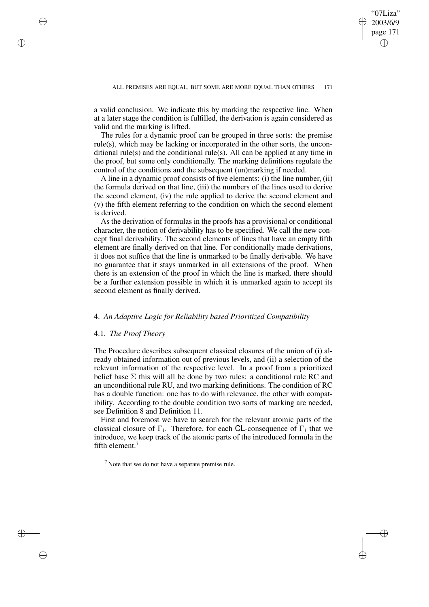✐

a valid conclusion. We indicate this by marking the respective line. When at a later stage the condition is fulfilled, the derivation is again considered as valid and the marking is lifted.

The rules for a dynamic proof can be grouped in three sorts: the premise rule(s), which may be lacking or incorporated in the other sorts, the unconditional rule(s) and the conditional rule(s). All can be applied at any time in the proof, but some only conditionally. The marking definitions regulate the control of the conditions and the subsequent (un)marking if needed.

A line in a dynamic proof consists of five elements: (i) the line number, (ii) the formula derived on that line, (iii) the numbers of the lines used to derive the second element, (iv) the rule applied to derive the second element and (v) the fifth element referring to the condition on which the second element is derived.

As the derivation of formulas in the proofs has a provisional or conditional character, the notion of derivability has to be specified. We call the new concept final derivability. The second elements of lines that have an empty fifth element are finally derived on that line. For conditionally made derivations, it does not suffice that the line is unmarked to be finally derivable. We have no guarantee that it stays unmarked in all extensions of the proof. When there is an extension of the proof in which the line is marked, there should be a further extension possible in which it is unmarked again to accept its second element as finally derived.

## 4. *An Adaptive Logic for Reliability based Prioritized Compatibility*

### 4.1. *The Proof Theory*

✐

✐

✐

✐

The Procedure describes subsequent classical closures of the union of (i) already obtained information out of previous levels, and (ii) a selection of the relevant information of the respective level. In a proof from a prioritized belief base  $\Sigma$  this will all be done by two rules: a conditional rule RC and an unconditional rule RU, and two marking definitions. The condition of RC has a double function: one has to do with relevance, the other with compatibility. According to the double condition two sorts of marking are needed, see Definition 8 and Definition 11.

First and foremost we have to search for the relevant atomic parts of the classical closure of  $\Gamma_i$ . Therefore, for each CL-consequence of  $\Gamma_i$  that we introduce, we keep track of the atomic parts of the introduced formula in the fifth element.<sup>7</sup>

 $<sup>7</sup>$  Note that we do not have a separate premise rule.</sup>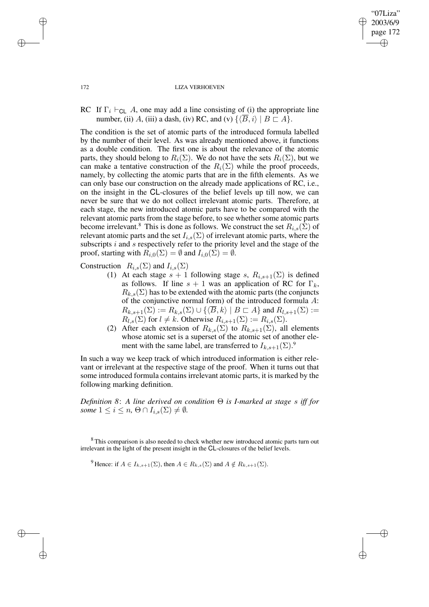✐

172 LIZA VERHOEVEN

RC If  $\Gamma_i \vdash_{\text{CL}} A$ , one may add a line consisting of (i) the appropriate line number, (ii) A, (iii) a dash, (iv) RC, and (v)  $\{\langle \overline{B},i \rangle \mid B \sqsubset A\}.$ 

The condition is the set of atomic parts of the introduced formula labelled by the number of their level. As was already mentioned above, it functions as a double condition. The first one is about the relevance of the atomic parts, they should belong to  $R_i(\Sigma)$ . We do not have the sets  $R_i(\Sigma)$ , but we can make a tentative construction of the  $R_i(\Sigma)$  while the proof proceeds, namely, by collecting the atomic parts that are in the fifth elements. As we can only base our construction on the already made applications of RC, i.e., on the insight in the CL-closures of the belief levels up till now, we can never be sure that we do not collect irrelevant atomic parts. Therefore, at each stage, the new introduced atomic parts have to be compared with the relevant atomic parts from the stage before, to see whether some atomic parts become irrelevant.<sup>8</sup> This is done as follows. We construct the set  $R_{i,s}(\Sigma)$  of relevant atomic parts and the set  $I_{i,s}(\Sigma)$  of irrelevant atomic parts, where the subscripts  $i$  and  $s$  respectively refer to the priority level and the stage of the proof, starting with  $R_{i,0}(\Sigma) = \emptyset$  and  $I_{i,0}(\Sigma) = \emptyset$ .

Construction  $R_{i,s}(\Sigma)$  and  $I_{i,s}(\Sigma)$ 

- (1) At each stage  $s + 1$  following stage s,  $R_{i,s+1}(\Sigma)$  is defined as follows. If line  $s + 1$  was an application of RC for  $\Gamma_k$ ,  $R_{k,s}(\Sigma)$  has to be extended with the atomic parts (the conjuncts of the conjunctive normal form) of the introduced formula A:  $R_{k,s+1}(\Sigma) := R_{k,s}(\Sigma) \cup \{ \langle \overline{B}, k \rangle \mid B \sqsubset A \}$  and  $R_{l,s+1}(\Sigma) :=$  $R_{l,s}(\Sigma)$  for  $l \neq k$ . Otherwise  $R_{i,s+1}(\Sigma) := R_{i,s}(\Sigma)$ .
- (2) After each extension of  $R_{k,s}(\Sigma)$  to  $R_{k,s+1}(\Sigma)$ , all elements whose atomic set is a superset of the atomic set of another element with the same label, are transferred to  $I_{k,s+1}(\Sigma)$ .<sup>9</sup>

In such a way we keep track of which introduced information is either relevant or irrelevant at the respective stage of the proof. When it turns out that some introduced formula contains irrelevant atomic parts, it is marked by the following marking definition.

*Definition 8*: *A line derived on condition* Θ *is I-marked at stage* s *iff for some*  $1 \leq i \leq n$ ,  $\Theta \cap I_{i,s}(\Sigma) \neq \emptyset$ .

<sup>9</sup> Hence: if  $A \in I_{k,s+1}(\Sigma)$ , then  $A \in R_{k,s}(\Sigma)$  and  $A \notin R_{k,s+1}(\Sigma)$ .

✐

✐

✐

<sup>&</sup>lt;sup>8</sup> This comparison is also needed to check whether new introduced atomic parts turn out irrelevant in the light of the present insight in the CL-closures of the belief levels.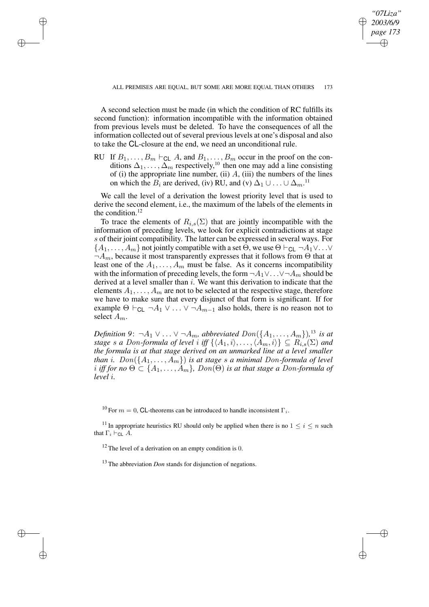*"07Liza" 2003/6/9 page 173*

✐

✐

✐

✐

A second selection must be made (in which the condition of RC fulfills its second function): information incompatible with the information obtained from previous levels must be deleted. To have the consequences of all the information collected out of several previous levels at one's disposal and also to take the CL-closure at the end, we need an unconditional rule.

✐

✐

✐

✐

RU If  $B_1, \ldots, B_m \vdash_{\text{CL}} A$ , and  $B_1, \ldots, B_m$  occur in the proof on the conditions  $\Delta_1, \ldots, \Delta_m$  respectively,<sup>10</sup> then one may add a line consisting of (i) the appropriate line number, (ii)  $A$ , (iii) the numbers of the lines on which the  $B_i$  are derived, (iv) RU, and (v)  $\Delta_1 \cup ... \cup \Delta_m$ .<sup>11</sup>

We call the level of a derivation the lowest priority level that is used to derive the second element, i.e., the maximum of the labels of the elements in the condition. $12$ 

To trace the elements of  $R_{i,s}(\Sigma)$  that are jointly incompatible with the information of preceding levels, we look for explicit contradictions at stage s of their joint compatibility. The latter can be expressed in several ways. For  $\{A_1, \ldots, A_m\}$  not jointly compatible with a set  $\Theta$ , we use  $\Theta \vdash_{\text{CL}} \neg A_1 \vee \ldots \vee$  $\neg A_m$ , because it most transparently expresses that it follows from  $\Theta$  that at least one of the  $A_1, \ldots, A_m$  must be false. As it concerns incompatibility with the information of preceding levels, the form  $\neg A_1 \vee \dots \vee \neg A_m$  should be derived at a level smaller than i. We want this derivation to indicate that the elements  $A_1, \ldots, A_m$  are not to be selected at the respective stage, therefore we have to make sure that every disjunct of that form is significant. If for example  $\Theta \vdash_{\text{CL}} \neg A_1 \vee \ldots \vee \neg A_{m-1}$  also holds, there is no reason not to select  $A_m$ .

*Definition*  $9: \neg A_1 \vee \ldots \vee \neg A_m$ *, abbreviated*  $Don(\lbrace A_1, \ldots, A_m \rbrace)$ <sup>13</sup> *is at stage s a* Don-formula of level i iff  $\{\langle A_1, i \rangle, \ldots, \langle A_m, i \rangle\} \subseteq R_{i,s}(\Sigma)$  and *the formula is at that stage derived on an unmarked line at a level smaller than i*.  $Don({A_1, ..., A_m})$  *is at stage s a minimal Don-formula of level*  $i$  *iff for*  $no \Theta \subset \{A_1, \ldots, A_m\}$ ,  $Don(\Theta)$  *is at that stage a Don-formula of level* i*.*

<sup>10</sup> For  $m = 0$ , CL-theorems can be introduced to handle inconsistent  $\Gamma_i$ .

<sup>11</sup> In appropriate heuristics RU should only be applied when there is no  $1 \leq i \leq n$  such that  $\Gamma_i \vdash_{\mathsf{CL}} A$ .

 $12$  The level of a derivation on an empty condition is 0.

<sup>13</sup> The abbreviation *Don* stands for disjunction of negations.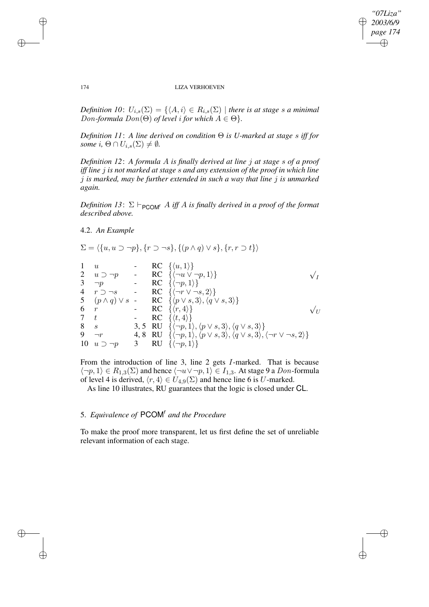$\bigoplus$ 

✐

### 174 LIZA VERHOEVEN

*Definition 10*:  $U_{i,s}(\Sigma) = \{ \langle A, i \rangle \in R_{i,s}(\Sigma) \mid \text{there is at stage } s \text{ a minimal} \}$ *Don-formula*  $Don(\Theta)$  *of level i for which*  $A \in \Theta$ *}.* 

*Definition 11*: *A line derived on condition* Θ *is U-marked at stage* s *iff for some*  $i, \Theta \cap U_{i,s}(\Sigma) \neq \emptyset$ *.* 

*Definition 12*: *A formula* A *is finally derived at line* j *at stage* s *of a proof iff line* j *is not marked at stage* s *and any extension of the proof in which line* j *is marked, may be further extended in such a way that line* j *is unmarked again.*

*Definition* 13:  $\Sigma \vdash_{\text{PCOM}^r} A$  *iff* A *is finally derived in a proof of the format described above.*

4.2. *An Example*

$$
\Sigma = \langle \{u, u \supset \neg p\}, \{r \supset \neg s\}, \{(p \land q) \lor s\}, \{r, r \supset t\} \rangle
$$
\n
$$
\begin{array}{cccccc}\n1 & u & - & \text{RC} & \{u, 1\} \\
2 & u \supset \neg p & - & \text{RC} & \{(\neg u \lor \neg p, 1)\} & & \sqrt{I} \\
3 & \neg p & - & \text{RC} & \{(\neg p, 1)\} & & \sqrt{I} \\
4 & r \supset \neg s & - & \text{RC} & \{(\neg r \lor \neg s, 2)\} \\
5 & (p \land q) \lor s & - & \text{RC} & \{\langle p \lor s, 3 \rangle, \langle q \lor s, 3 \rangle\} \\
6 & r & - & \text{RC} & \{\langle r, 4 \rangle\} & & \sqrt{U} \\
7 & t & - & \text{RC} & \{\langle t, 4 \rangle\} & & \sqrt{U} \\
8 & s & 3, 5 & \text{RU} & \{\langle \neg p, 1 \rangle, \langle p \lor s, 3 \rangle, \langle q \lor s, 3 \rangle\} \\
9 & \neg r & 4, 8 & \text{RU} & \{\langle \neg p, 1 \rangle, \langle p \lor s, 3 \rangle, \langle q \lor s, 3 \rangle, \langle \neg r \lor \neg s, 2 \rangle\} \\
10 & u \supset \neg p & 3 & \text{RU} & \{\langle \neg p, 1 \rangle\}\n\end{array}
$$

From the introduction of line 3, line 2 gets I-marked. That is because  $\langle \neg p, 1 \rangle \in R_{1,3}(\Sigma)$  and hence  $\langle \neg u \vee \neg p, 1 \rangle \in I_{1,3}$ . At stage 9 a Don-formula of level 4 is derived,  $\langle r, 4 \rangle \in U_{4,9}(\Sigma)$  and hence line 6 is U-marked.

As line 10 illustrates, RU guarantees that the logic is closed under CL.

# 5. *Equivalence of* PCOM<sup>r</sup> *and the Procedure*

To make the proof more transparent, let us first define the set of unreliable relevant information of each stage.

✐

✐

✐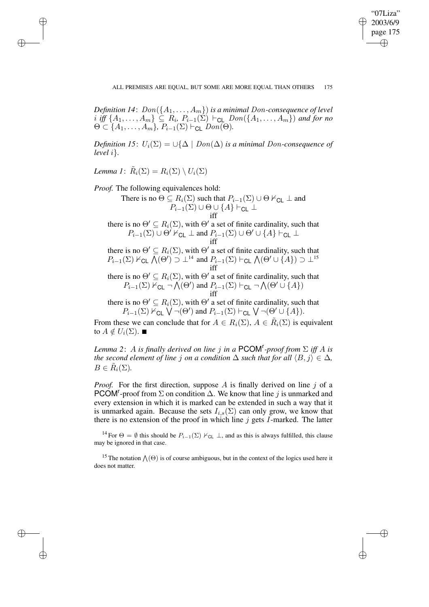✐

*Definition* 14:  $Don(\lbrace A_1, \ldots, A_m \rbrace)$  *is a minimal Don-consequence of level*  $i$  *iff*  $\{A_1, \ldots, A_m\} \subseteq R_i$ ,  $P_{i-1}(\Sigma) \vdash_{\mathsf{CL}} Don(\{A_1, \ldots, A_m\})$  and for no  $\Theta \subset \{A_1, \ldots, A_m\}, P_{i-1}(\Sigma) \vdash_{\mathsf{CL}} \mathit{Don}(\Theta).$ 

*Definition* 15:  $U_i(\Sigma) = \bigcup \{ \Delta \mid Don(\Delta) \text{ is a minimal Don-consequence of } \}$ *level* i}*.*

*Lemma 1*:  $\tilde{R}_i(\Sigma) = R_i(\Sigma) \setminus U_i(\Sigma)$ 

✐

✐

✐

✐

*Proof.* The following equivalences hold:

There is no  $\Theta \subseteq R_i(\Sigma)$  such that  $P_{i-1}(\Sigma) \cup \Theta \nvdash_{\mathsf{CL}} \bot$  and  $P_{i-1}(\Sigma) \cup \Theta \cup \{A\} \vdash_{\mathsf{CL}} \bot$ iff

there is no  $\Theta' \subseteq R_i(\Sigma)$ , with  $\Theta'$  a set of finite cardinality, such that  $P_{i-1}(\Sigma) \cup \Theta'$   $\overline{\vdash}_{\mathsf{CL}} \perp$  and  $P_{i-1}(\Sigma) \cup \Theta' \cup \{A\} \vdash_{\mathsf{CL}} \perp$ iff

there is no  $\Theta' \subseteq R_i(\Sigma)$ , with  $\Theta'$  a set of finite cardinality, such that  $P_{i-1}(\Sigma) \nvDash_{\mathsf{CL}} \overline{\bigwedge}(\Theta') \supset \perp^{14}$  and  $P_{i-1}(\Sigma) \vdash_{\mathsf{CL}} \bigwedge(\Theta' \cup \{A\}) \supset \perp^{15}$ iff

there is no  $\Theta' \subseteq R_i(\Sigma)$ , with  $\Theta'$  a set of finite cardinality, such that  $P_{i-1}(\Sigma) \nvdash_{\mathsf{CL}} \neg \bigwedge(\Theta')$  and  $P_{i-1}(\Sigma) \vdash_{\mathsf{CL}} \neg \bigwedge(\Theta' \cup \{A\})$ iff

there is no  $\Theta' \subseteq R_i(\Sigma)$ , with  $\Theta'$  a set of finite cardinality, such that  $P_{i-1}(\Sigma) \nvdash_{\mathsf{CL}} \bigvee \neg(\Theta')$  and  $P_{i-1}(\Sigma) \vdash_{\mathsf{CL}} \bigvee \neg(\Theta' \cup \{A\}).$ 

From these we can conclude that for  $A \in R_i(\Sigma)$ ,  $A \in \tilde{R}_i(\Sigma)$  is equivalent to  $A \notin U_i(\Sigma)$ .  $\blacksquare$ 

*Lemma 2*: A *is finally derived on line* j *in a* PCOM<sup>r</sup> *-proof from* Σ *iff* A *is the second element of line j on a condition*  $\Delta$  *such that for all*  $\langle B, j \rangle \in \Delta$ *,*  $B \in \tilde{R}_i(\Sigma)$ .

*Proof.* For the first direction, suppose A is finally derived on line  $j$  of a PCOM<sup>r</sup>-proof from  $\Sigma$  on condition  $\Delta$ . We know that line j is unmarked and every extension in which it is marked can be extended in such a way that it is unmarked again. Because the sets  $I_{i,s}(\Sigma)$  can only grow, we know that there is no extension of the proof in which line  $j$  gets  $I$ -marked. The latter

<sup>14</sup> For  $\Theta = \emptyset$  this should be  $P_{i-1}(\Sigma) \nvDash_{\mathsf{CL}} \bot$ , and as this is always fulfilled, this clause may be ignored in that case.

<sup>15</sup> The notation  $\Lambda(\Theta)$  is of course ambiguous, but in the context of the logics used here it does not matter.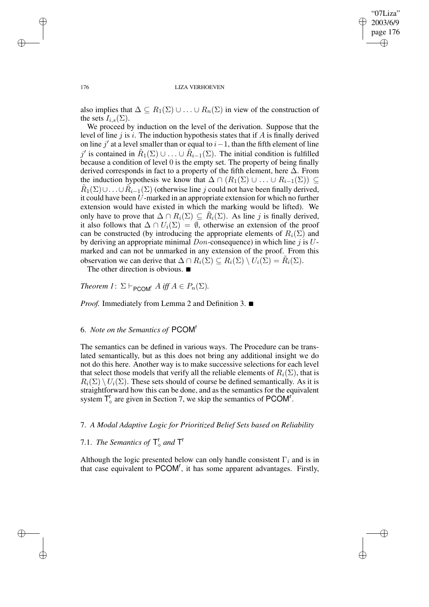✐

### 176 LIZA VERHOEVEN

also implies that  $\Delta \subseteq R_1(\Sigma) \cup \ldots \cup R_n(\Sigma)$  in view of the construction of the sets  $I_{i,s}(\Sigma)$ .

We proceed by induction on the level of the derivation. Suppose that the level of line  $j$  is i. The induction hypothesis states that if  $A$  is finally derived on line j' at a level smaller than or equal to  $i-1$ , than the fifth element of line j' is contained in  $\tilde{R}_1(\Sigma) \cup ... \cup \tilde{R}_{i-1}(\Sigma)$ . The initial condition is fulfilled because a condition of level 0 is the empty set. The property of being finally derived corresponds in fact to a property of the fifth element, here  $\Delta$ . From the induction hypothesis we know that  $\Delta \cap (R_1(\Sigma) \cup ... \cup R_{i-1}(\Sigma)) \subseteq$  $\tilde{R}_1(\Sigma) \cup \ldots \cup \tilde{R}_{i-1}(\Sigma)$  (otherwise line j could not have been finally derived, it could have been U-marked in an appropriate extension for which no further extension would have existed in which the marking would be lifted). We only have to prove that  $\Delta \cap R_i(\Sigma) \subseteq \tilde{R}_i(\Sigma)$ . As line j is finally derived, it also follows that  $\Delta \cap U_i(\Sigma) = \emptyset$ , otherwise an extension of the proof can be constructed (by introducing the appropriate elements of  $R_i(\Sigma)$  and by deriving an appropriate minimal  $Don$ -consequence) in which line j is  $U$ marked and can not be unmarked in any extension of the proof. From this observation we can derive that  $\Delta \cap R_i(\Sigma) \subseteq R_i(\Sigma) \setminus U_i(\Sigma) = \tilde{R}_i(\Sigma)$ .

The other direction is obvious.  $\blacksquare$ 

*Theorem*  $I: \Sigma \vdash_{\mathsf{PCOM}^r} A$  *iff*  $A \in P_n(\Sigma)$ .

*Proof.* Immediately from Lemma 2 and Definition 3. ■

# 6. *Note on the Semantics of* PCOM<sup>r</sup>

The semantics can be defined in various ways. The Procedure can be translated semantically, but as this does not bring any additional insight we do not do this here. Another way is to make successive selections for each level that select those models that verify all the reliable elements of  $R_i(\Sigma)$ , that is  $R_i(\Sigma) \setminus U_i(\Sigma)$ . These sets should of course be defined semantically. As it is straightforward how this can be done, and as the semantics for the equivalent system  $T_{\circ}^{r}$  are given in Section 7, we skip the semantics of PCOM<sup>r</sup>.

# 7. *A Modal Adaptive Logic for Prioritized Belief Sets based on Reliability*

# 7.1. *The Semantics of*  $\mathsf{T}_{\diamond}^{\mathsf{r}}$  *and*  $\mathsf{T}^{\mathsf{r}}$

Although the logic presented below can only handle consistent  $\Gamma_i$  and is in that case equivalent to PCOM<sup>r</sup>, it has some apparent advantages. Firstly,

✐

✐

✐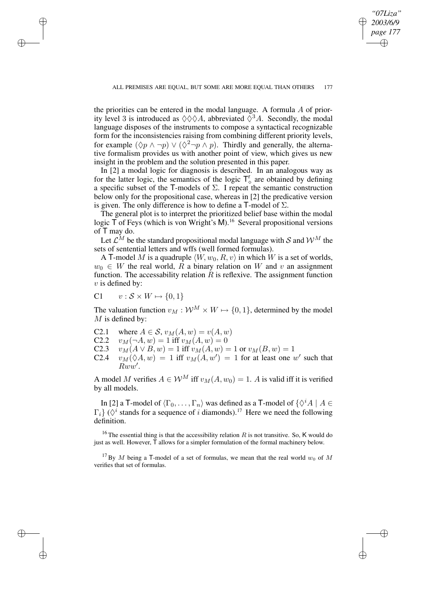✐

the priorities can be entered in the modal language. A formula  $A$  of priority level 3 is introduced as  $\Diamond \Diamond \Diamond A$ , abbreviated  $\Diamond^3 A$ . Secondly, the modal language disposes of the instruments to compose a syntactical recognizable form for the inconsistencies raising from combining different priority levels, for example  $(\Diamond p \land \neg p) \lor (\Diamond^2 \neg p \land p)$ . Thirdly and generally, the alternative formalism provides us with another point of view, which gives us new insight in the problem and the solution presented in this paper.

In [2] a modal logic for diagnosis is described. In an analogous way as for the latter logic, the semantics of the logic  $T_0^r$  are obtained by defining a specific subset of the T-models of  $\Sigma$ . I repeat the semantic construction below only for the propositional case, whereas in [2] the predicative version is given. The only difference is how to define a T-model of  $\Sigma$ .

The general plot is to interpret the prioritized belief base within the modal logic  $\overline{T}$  of Feys (which is von Wright's M).<sup>16</sup> Several propositional versions of T may do.

Let  $\mathcal{L}^M$  be the standard propositional modal language with S and  $\mathcal{W}^M$  the sets of sentential letters and wffs (well formed formulas).

A T-model M is a quadruple  $\langle W, w_0, R, v \rangle$  in which W is a set of worlds,  $w_0 \in W$  the real world,  $\overline{R}$  a binary relation on W and v an assignment function. The accessability relation  $\hat{R}$  is reflexive. The assignment function  $v$  is defined by:

$$
C1 \qquad v : \mathcal{S} \times W \mapsto \{0, 1\}
$$

✐

✐

✐

✐

The valuation function  $v_M : \mathcal{W}^M \times W \mapsto \{0, 1\}$ , determined by the model  $M$  is defined by:

- C2.1 where  $A \in S$ ,  $v_M(A, w) = v(A, w)$ <br>C2.2  $v_M(\neg A, w) = 1$  iff  $v_M(A, w) = 0$
- C2.2  $v_M(\neg A, w) = 1$  iff  $v_M(A, w) = 0$ <br>C2.3  $v_M(A \vee B, w) = 1$  iff  $v_M(A, w) = 0$
- C2.3  $v_M(A \vee B, w) = 1$  iff  $v_M(A, w) = 1$  or  $v_M(B, w) = 1$
- C2.4  $v_M(\Diamond A, w) = 1$  iff  $v_M(A, w') = 1$  for at least one w' such that  $\overset{\sim}{Rww'}$ .

A model M verifies  $A \in \mathcal{W}^M$  iff  $v_M(A, w_0) = 1$ . A is valid iff it is verified by all models.

In [2] a T-model of  $\langle \Gamma_0, \ldots, \Gamma_n \rangle$  was defined as a T-model of  $\{\Diamond^i A \mid A \in \mathbb{R}^n\}$  $\Gamma_i$ } ( $\Diamond^i$  stands for a sequence of i diamonds).<sup>17</sup> Here we need the following definition.

<sup>16</sup> The essential thing is that the accessibility relation R is not transitive. So, K would do just as well. However,  $\bar{T}$  allows for a simpler formulation of the formal machinery below.

<sup>&</sup>lt;sup>17</sup> By M being a T-model of a set of formulas, we mean that the real world  $w_0$  of M verifies that set of formulas.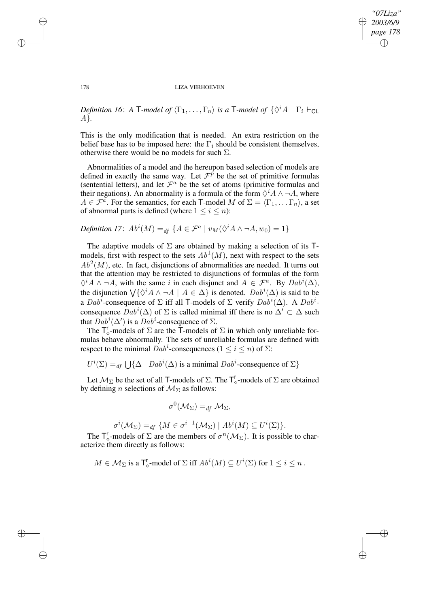✐

### 178 LIZA VERHOEVEN

*Definition 16*: *A*  $\mathsf{T}\text{-}$ *model of*  $\langle \Gamma_1, \ldots, \Gamma_n \rangle$  *is a*  $\mathsf{T}\text{-}$ *model of*  $\{\Diamond^i A \mid \Gamma_i \vdash_{\mathsf{CL}}\}$ A}*.*

This is the only modification that is needed. An extra restriction on the belief base has to be imposed here: the  $\Gamma_i$  should be consistent themselves, otherwise there would be no models for such  $\Sigma$ .

Abnormalities of a model and the hereupon based selection of models are defined in exactly the same way. Let  $\mathcal{F}^{\hat{p}}$  be the set of primitive formulas (sentential letters), and let  $\mathcal{F}^a$  be the set of atoms (primitive formulas and their negations). An abnormality is a formula of the form  $\Diamond^i A \land \neg A$ , where  $A \in \mathcal{F}^{\alpha}$ . For the semantics, for each T-model M of  $\Sigma = \langle \Gamma_1, \dots \Gamma_n \rangle$ , a set of abnormal parts is defined (where  $1 \leq i \leq n$ ):

*Definition* 17:  $Ab^{i}(M) =_{df} \{A \in \mathcal{F}^{a} \mid v_{M}(\Diamond^{i} A \land \neg A, w_{0}) = 1\}$ 

The adaptive models of  $\Sigma$  are obtained by making a selection of its Tmodels, first with respect to the sets  $Ab^1(M)$ , next with respect to the sets  $Ab<sup>2</sup>(M)$ , etc. In fact, disjunctions of abnormalities are needed. It turns out that the attention may be restricted to disjunctions of formulas of the form  $\Diamond^i A \wedge \neg A$ , with the same i in each disjunct and  $A \in \mathcal{F}^a$ . By  $Dab^i(\Delta)$ , the disjunction  $\bigvee \{ \Diamond^i A \land \neg A \mid A \in \Delta \}$  is denoted.  $Dab^i(\Delta)$  is said to be a  $Dab^i$ -consequence of  $\Sigma$  iff all T-models of  $\Sigma$  verify  $Dab^i(\Delta)$ . A  $Dab^i$ consequence  $\hat{D}ab^i(\Delta)$  of  $\Sigma$  is called minimal iff there is no  $\Delta' \subset \Delta$  such that  $Dab^i(\Delta')$  is a  $Dab^i$ -consequence of  $\Sigma$ .

The  $\mathsf{T}_{\diamond}^{\mathsf{r}}$ -models of  $\Sigma$  are the  $\mathsf{T}$ -models of  $\Sigma$  in which only unreliable formulas behave abnormally. The sets of unreliable formulas are defined with respect to the minimal  $Dab^i$ -consequences ( $1 \le i \le n$ ) of  $\Sigma$ :

 $U^i(\Sigma) =_{df} \bigcup \{ \Delta \mid Dab^i(\Delta) \text{ is a minimal } Dab^i\text{-consequence of } \Sigma \}$ 

Let  $M_{\Sigma}$  be the set of all T-models of  $\Sigma$ . The  $T_{\circ}^r$ -models of  $\Sigma$  are obtained by defining *n* selections of  $M_{\Sigma}$  as follows:

$$
\sigma^0({\mathcal M}_\Sigma)=_{df} {\mathcal M}_\Sigma,
$$

$$
\sigma^i(\mathcal{M}_{\Sigma}) =_{df} \{ M \in \sigma^{i-1}(\mathcal{M}_{\Sigma}) \mid Ab^i(M) \subseteq U^i(\Sigma) \}.
$$

The  $T_{\circ}^r$ -models of  $\Sigma$  are the members of  $\sigma^n(\mathcal{M}_{\Sigma})$ . It is possible to characterize them directly as follows:

$$
M\in \mathcal{M}_{\Sigma} \text{ is a } \mathsf{T}_{\Diamond}^{\mathsf{r}}\text{-model of } \Sigma \text{ iff } Ab^{i}(M)\subseteq U^{i}(\Sigma) \text{ for } 1\leq i\leq n\,.
$$

✐

✐

✐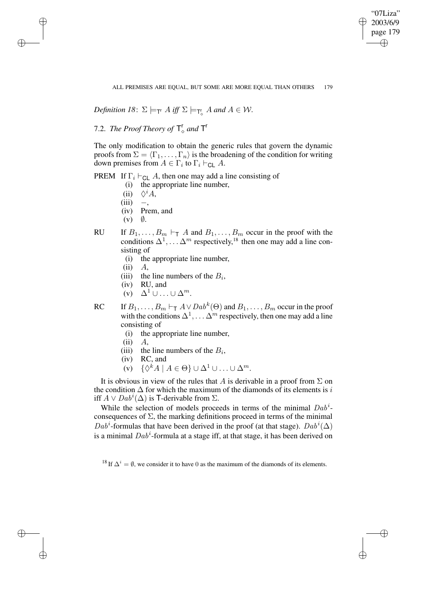"07Liza" 2003/6/9 page 179 ✐ ✐

✐

✐

ALL PREMISES ARE EQUAL, BUT SOME ARE MORE EQUAL THAN OTHERS 179

*Definition* 18:  $\Sigma \models_{\mathsf{T}^r} A \text{ iff } \Sigma \models_{\mathsf{T}^r_\diamond} A \text{ and } A \in \mathcal{W}$ .

7.2. *The Proof Theory of*  $\mathsf{T}_{\diamond}^{\mathsf{r}}$  *and*  $\mathsf{T}^{\mathsf{r}}$ 

The only modification to obtain the generic rules that govern the dynamic proofs from  $\Sigma = \langle \Gamma_1, \ldots, \Gamma_n \rangle$  is the broadening of the condition for writing down premises from  $A \in \Gamma_i$  to  $\Gamma_i \vdash_{\mathsf{CL}} A$ .

PREM If  $\Gamma_i \vdash_{\text{CL}} A$ , then one may add a line consisting of

- (i) the appropriate line number,
- (ii)  $\Diamond^i A$ ,
- $(iii)$  –,

✐

✐

✐

✐

- (iv) Prem, and
- $(v)$   $\emptyset$ .
- RU If  $B_1, \ldots, B_m \vdash_{\mathsf{T}} A$  and  $B_1, \ldots, B_m$  occur in the proof with the conditions  $\Delta^1, \ldots \Delta^m$  respectively,<sup>18</sup> then one may add a line consisting of
	- (i) the appropriate line number,
	- $(ii)$   $A$ .
	- (iii) the line numbers of the  $B_i$ ,
	- (iv) RU, and
	- $(v)$   $\Delta^1 \cup ... \cup \Delta^m$ .

RC If  $B_1, \ldots, B_m \vdash_{\mathsf{T}} A \vee Dab^k(\Theta)$  and  $B_1, \ldots, B_m$  occur in the proof with the conditions  $\Delta^1, \ldots \Delta^m$  respectively, then one may add a line consisting of

- (i) the appropriate line number,
- $(ii)$   $A$ ,
- (iii) the line numbers of the  $B_i$ ,
- (iv) RC, and
- (v)  $\{\Diamond^k A \mid A \in \Theta\} \cup \Delta^1 \cup ... \cup \Delta^m.$

It is obvious in view of the rules that A is derivable in a proof from  $\Sigma$  on the condition  $\Delta$  for which the maximum of the diamonds of its elements is i iff  $A \vee Dab^i(\Delta)$  is T-derivable from  $\Sigma$ .

While the selection of models proceeds in terms of the minimal  $Dab^i$ consequences of  $\Sigma$ , the marking definitions proceed in terms of the minimal  $Dab^i$ -formulas that have been derived in the proof (at that stage).  $Dab^i(\Delta)$ is a minimal  $Dab^i$ -formula at a stage iff, at that stage, it has been derived on

<sup>18</sup> If  $\Delta^{i} = \emptyset$ , we consider it to have 0 as the maximum of the diamonds of its elements.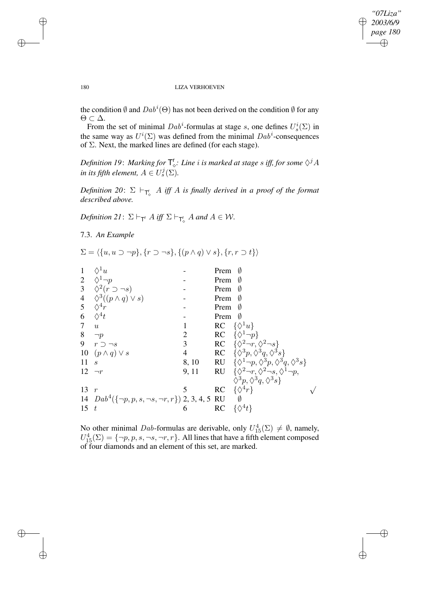## *"07Liza" 2003/6/9 page 180* ✐ ✐

 $\oplus$ 

✐

### 180 LIZA VERHOEVEN

the condition  $\emptyset$  and  $Dab^i(\Theta)$  has not been derived on the condition  $\emptyset$  for any Θ ⊂ ∆.

From the set of minimal  $Dab^i$ -formulas at stage s, one defines  $U_s^i(\Sigma)$  in the same way as  $U^i(\Sigma)$  was defined from the minimal  $Dab^i$ -consequences of Σ. Next, the marked lines are defined (for each stage).

Definition 19: Marking for  $\mathsf{T}_\diamond^{\mathsf{r}}$ : Line  $i$  is marked at stage  $s$  iff, for some  $\Diamond^j A$ *in its fifth element,*  $A \in U_s^j(\Sigma)$ .

 $Definition$   $20:$   $\Sigma$   $\vdash_{\mathsf{T}_{\diamond}^{\mathsf{r}}} A$  *iff*  $A$  *is finally derived in a proof of the format described above.*

*Definition* 21:  $\Sigma \vdash_{\mathsf{T}^r} A$  *iff*  $\Sigma \vdash_{\mathsf{T}^r_{\diamond}} A$  *and*  $A \in \mathcal{W}$ *.* 

7.3. *An Example*

$$
\Sigma = \langle \{u, u \supset \neg p\}, \{r \supset \neg s\}, \{(p \land q) \lor s\}, \{r, r \supset t\} \rangle
$$

| $\mathbf{1}$ | $\Diamond^1 u$                                                 |                | Prem<br>Ø                                                                  |
|--------------|----------------------------------------------------------------|----------------|----------------------------------------------------------------------------|
|              | 2 $\Diamond^1 \neg p$                                          |                | Prem<br>- 0                                                                |
|              | 3 $\Diamond^2(r \supset \neg s)$                               |                | Prem<br>0                                                                  |
|              | 4 $\diamondsuit^3((p \wedge q) \vee s)$<br>5 $\diamondsuit^4r$ |                | Prem<br>Ø                                                                  |
|              |                                                                |                | Prem<br>Ø                                                                  |
| 6            | $\Diamond^4 t$                                                 |                | Prem<br>- 0                                                                |
| $7\degree$   | u                                                              |                | RC $\{\lozenge^1 u\}$                                                      |
|              | 8 $\neg p$                                                     | $\overline{2}$ | RC $\{\Diamond^1 \neg p\}$                                                 |
|              | 9 $r \supset \neg s$                                           | 3 <sup>1</sup> | RC $\{\Diamond^2 \neg r, \Diamond^2 \neg s\}$                              |
|              | 10 $(p \wedge q) \vee s$                                       | $\overline{4}$ | RC $\{\Diamond^3 p, \Diamond^3 q, \Diamond^3 s\}$                          |
| 11           | $\mathcal{S}_{\mathcal{S}}$                                    | 8, 10          | <b>RU</b> $\{\Diamond^1\neg p, \Diamond^3 p, \Diamond^3 q, \Diamond^3 s\}$ |
| 12 $\neg r$  |                                                                | 9, 11          | RU $\{\Diamond^2 \neg r, \Diamond^2 \neg s, \Diamond^1 \neg p,$            |
|              |                                                                |                | $\Diamond^3 p, \Diamond^3 q, \Diamond^3 s$                                 |
| 13           | r                                                              | 5              | RC $\{\lozenge^4 r\}$                                                      |
|              | 14 $Dab^4(\{\neg p, p, s, \neg s, \neg r, r\})$ 2, 3, 4, 5 RU  |                |                                                                            |
| 15~t         |                                                                | 6              | $\{\Diamond^4 t\}$<br>RC                                                   |
|              |                                                                |                |                                                                            |

No other minimal *Dab*-formulas are derivable, only  $U_{15}^4(\Sigma) \neq \emptyset$ , namely,  $U_{15}^{4}(\Sigma) = \{-p, p, s, \neg s, \neg r, r\}$ . All lines that have a fifth element composed of four diamonds and an element of this set, are marked.

✐

✐

✐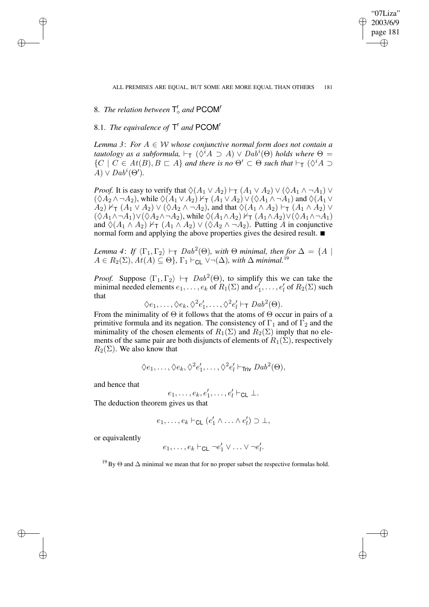✐

# 8. *The relation between*  $T_c^r$  and PCOM<sup>r</sup>

✐

✐

✐

✐

# 8.1. *The equivalence of*  $T^r$  *and* PCOM<sup>r</sup>

*Lemma* 3: For  $A \in W$  *whose conjunctive normal form does not contain a tautology as a subformula*,  $\vdash_{\mathsf{T}} (\Diamond^i A \supset A) \vee Dab^i(\Theta)$  *holds* where  $\Theta =$  $\{C \mid C \in At(B), B \sqsubset A\}$  *and there is no*  $\Theta' \subset \Theta$  *such that*  $\vdash_{\mathsf{T}} (\Diamond^i A \supset$  $\widetilde{A}$ )  $\vee$   $Dab^i(\Theta')$ .

*Proof.* It is easy to verify that  $\Diamond(A_1 \lor A_2) \vdash_{\mathsf{T}} (A_1 \lor A_2) \lor (\Diamond A_1 \land \neg A_1) \lor$  $(\Diamond A_2 \land \neg A_2)$ , while  $\Diamond (A_1 \lor A_2) \nvdash_{\mathsf{T}} (A_1 \lor A_2) \lor (\Diamond A_1 \land \neg A_1)$  and  $\Diamond (A_1 \lor A_2)$  $A_2$ )  $V_T$   $(A_1 \vee A_2) \vee (\lozenge A_2 \wedge \neg A_2)$ , and that  $\lozenge (A_1 \wedge A_2) \vdash_T (A_1 \wedge A_2) \vee$  $(\sqrt{A_1} \wedge \neg A_1) \vee (\sqrt{A_2} \wedge \neg A_2)$ , while  $\sqrt{(A_1 \wedge A_2)} \vee \tau (A_1 \wedge A_2) \vee (\sqrt{A_1} \wedge \neg A_1)$ and  $\Diamond(A_1 \land A_2) \nvdash_{\mathsf{T}} (A_1 \land A_2) \lor (\Diamond A_2 \land \neg A_2)$ . Putting A in conjunctive normal form and applying the above properties gives the desired result.  $\blacksquare$ 

*Lemma* 4: *If*  $\langle \Gamma_1, \Gamma_2 \rangle \vdash_T Dab^2(\Theta)$ *, with*  $\Theta$  *minimal, then for*  $\Delta = \{A \mid B \}$  $A \in R_2(\Sigma)$ ,  $At(A) \subseteq \Theta$ ,  $\Gamma_1 \vdash_{\mathsf{CL}} \vee \neg(\Delta)$ *, with*  $\Delta$  *minimal.*<sup>19</sup>

*Proof.* Suppose  $\langle \Gamma_1, \Gamma_2 \rangle \vdash_T Dab^2(\Theta)$ , to simplify this we can take the minimal needed elements  $e_1, \ldots, e_k$  of  $R_1(\Sigma)$  and  $e'_1, \ldots, e'_l$  $_{l}^{\prime}$  of  $R_{2}(\Sigma)$  such that

$$
\Diamond e_1, \ldots, \Diamond e_k, \Diamond^2 e'_1, \ldots, \Diamond^2 e'_l \vdash_{\mathsf{T}} Dab^2(\Theta).
$$

From the minimality of  $\Theta$  it follows that the atoms of  $\Theta$  occur in pairs of a primitive formula and its negation. The consistency of  $\Gamma_1$  and of  $\Gamma_2$  and the minimality of the chosen elements of  $R_1(\Sigma)$  and  $R_2(\Sigma)$  imply that no elements of the same pair are both disjuncts of elements of  $R_1(\Sigma)$ , respectively  $R_2(\Sigma)$ . We also know that

$$
\Diamond e_1,\ldots,\Diamond e_k,\Diamond^2e'_1,\ldots,\Diamond^2e'_l\vdash_{\mathsf{Triv}}\mathit{Dab}^2(\Theta),
$$

and hence that

$$
e_1,\ldots,e_k,e'_1,\ldots,e'_l\vdash_{\mathsf{CL}}\bot.
$$

The deduction theorem gives us that

$$
e_1,\ldots,e_k\vdash_{\mathsf{CL}}(e'_1\wedge\ldots\wedge e'_l)\supset\bot,
$$

or equivalently

$$
e_1,\ldots,e_k \vdash_{\text{CL}} \neg e_1' \lor \ldots \lor \neg e_l'.
$$

<sup>19</sup> By  $\Theta$  and  $\Delta$  minimal we mean that for no proper subset the respective formulas hold.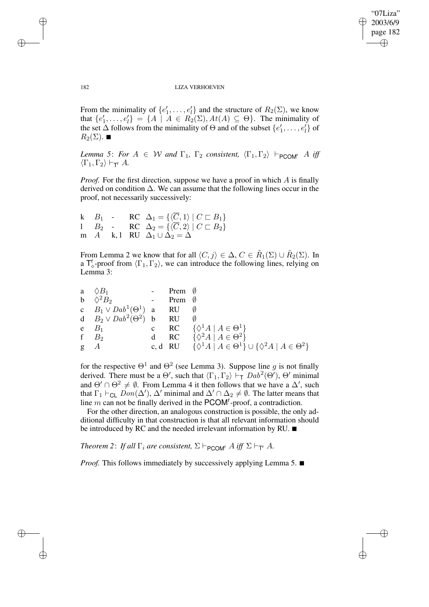✐

### 182 LIZA VERHOEVEN

From the minimality of  $\{e'_1, \ldots, e'_l\}$  $\mathcal{H}_l$  and the structure of  $R_2(\Sigma)$ , we know that  $\{e'_1, \ldots, e'_l\}$  $\mathcal{H}_l = \{ A \mid A \in R_2(\Sigma), At(A) \subseteq \Theta \}.$  The minimality of the set  $\Delta$  follows from the minimality of  $\Theta$  and of the subset  $\{e'_1, \ldots, e'_l\}$  $\binom{l}{l}$  of  $R_2(\Sigma)$ .  $\blacksquare$ 

*Lemma* 5: *For*  $A \in W$  *and*  $\Gamma_1$ ,  $\Gamma_2$  *consistent*,  $\langle \Gamma_1, \Gamma_2 \rangle \vdash_{PCOM^r} A$  *iff*  $\langle \Gamma_1, \Gamma_2 \rangle \vdash_{\mathsf{T}^\mathsf{T}} A$ .

*Proof.* For the first direction, suppose we have a proof in which A is finally derived on condition  $\Delta$ . We can assume that the following lines occur in the proof, not necessarily successively:

k  $B_1$  - RC  $\Delta_1 = {\{\langle \overline{C}, 1 \rangle | C \sqsubset B_1 \}}$  $B_2$  - RC  $\Delta_2 = {\langle \langle \overline{C}, 2 \rangle | C \sqsubset B_2 \}$ m A k, l RU  $\Delta_1 \cup \Delta_2 = \Delta$ 

From Lemma 2 we know that for all  $\langle C, j \rangle \in \Delta$ ,  $C \in \tilde{R}_1(\Sigma) \cup \tilde{R}_2(\Sigma)$ . In a  $T_{\diamond}^r$ -proof from  $\langle \Gamma_1, \Gamma_2 \rangle$ , we can introduce the following lines, relying on Lemma 3:

|          | a $\Diamond B_1$                             | Prem $\emptyset$ |                                                                                          |
|----------|----------------------------------------------|------------------|------------------------------------------------------------------------------------------|
|          | b $\Diamond^2 B_2$<br>and the company of the | Prem $\emptyset$ |                                                                                          |
|          | c $B_1 \vee Dab^1(\Theta^1)$ a RU            |                  |                                                                                          |
|          | d $B_2 \vee Da b^2(\Theta^2)$ b RU           |                  |                                                                                          |
|          | $e$ $B_1$                                    |                  | c RC $\{\Diamond^1 A \mid A \in \Theta^1\}$                                              |
|          | f $B_2$                                      |                  | d RC $\{\Diamond^2 A \mid A \in \Theta^2\}$                                              |
| $g \t A$ |                                              |                  | c, d RU $\{\lozenge^1 A \mid A \in \Theta^1\} \cup \{\lozenge^2 A \mid A \in \Theta^2\}$ |

for the respective  $\Theta^1$  and  $\Theta^2$  (see Lemma 3). Suppose line g is not finally derived. There must be a  $\Theta'$ , such that  $\langle \Gamma_1, \Gamma_2 \rangle \vdash_{\top} Dab^2(\Theta')$ ,  $\Theta'$  minimal and  $\Theta' \cap \Theta^2 \neq \emptyset$ . From Lemma 4 it then follows that we have a  $\Delta'$ , such that  $\Gamma_1 \vdash_{CL}$   $Don(\Delta'), \Delta'$  minimal and  $\Delta' \cap \Delta_2 \neq \emptyset$ . The latter means that line  $m$  can not be finally derived in the PCOM<sup>r</sup>-proof, a contradiction.

For the other direction, an analogous construction is possible, the only additional difficulty in that construction is that all relevant information should be introduced by RC and the needed irrelevant information by RU.  $\blacksquare$ 

*Theorem* 2: *If all*  $\Gamma_i$  *are consistent,*  $\Sigma \vdash_{\mathsf{PCOM}^r} A$  *iff*  $\Sigma \vdash_{\mathsf{T}^r} A$ *.* 

*Proof.* This follows immediately by successively applying Lemma 5.  $\blacksquare$ 

✐

✐

✐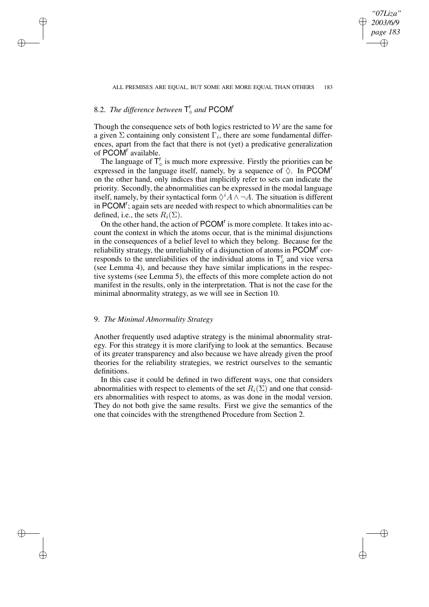ALL PREMISES ARE EQUAL, BUT SOME ARE MORE EQUAL THAN OTHERS 183

*"07Liza" 2003/6/9 page 183*

✐

✐

✐

✐

# 8.2. *The difference between*  $\mathsf{T}_{\diamond}^{\mathsf{r}}$  and PCOM<sup>r</sup>

✐

✐

✐

✐

Though the consequence sets of both logics restricted to  $W$  are the same for a given  $\Sigma$  containing only consistent  $\Gamma_i$ , there are some fundamental differences, apart from the fact that there is not (yet) a predicative generalization of PCOM<sup>r</sup> available.

The language of  $T_{\circ}^r$  is much more expressive. Firstly the priorities can be expressed in the language itself, namely, by a sequence of  $\Diamond$ . In PCOM<sup>t</sup> on the other hand, only indices that implicitly refer to sets can indicate the priority. Secondly, the abnormalities can be expressed in the modal language itself, namely, by their syntactical form  $\Diamond^i A \land \neg A$ . The situation is different in PCOM<sup>r</sup>; again sets are needed with respect to which abnormalities can be defined, i.e., the sets  $R_i(\Sigma)$ .

On the other hand, the action of PCOM<sup>r</sup> is more complete. It takes into account the context in which the atoms occur, that is the minimal disjunctions in the consequences of a belief level to which they belong. Because for the reliability strategy, the unreliability of a disjunction of atoms in PCOM<sup>r</sup> corresponds to the unreliabilities of the individual atoms in  $T_{\diamond}^{r}$  and vice versa (see Lemma 4), and because they have similar implications in the respective systems (see Lemma 5), the effects of this more complete action do not manifest in the results, only in the interpretation. That is not the case for the minimal abnormality strategy, as we will see in Section 10.

# 9. *The Minimal Abnormality Strategy*

Another frequently used adaptive strategy is the minimal abnormality strategy. For this strategy it is more clarifying to look at the semantics. Because of its greater transparency and also because we have already given the proof theories for the reliability strategies, we restrict ourselves to the semantic definitions.

In this case it could be defined in two different ways, one that considers abnormalities with respect to elements of the set  $R_i(\Sigma)$  and one that considers abnormalities with respect to atoms, as was done in the modal version. They do not both give the same results. First we give the semantics of the one that coincides with the strengthened Procedure from Section 2.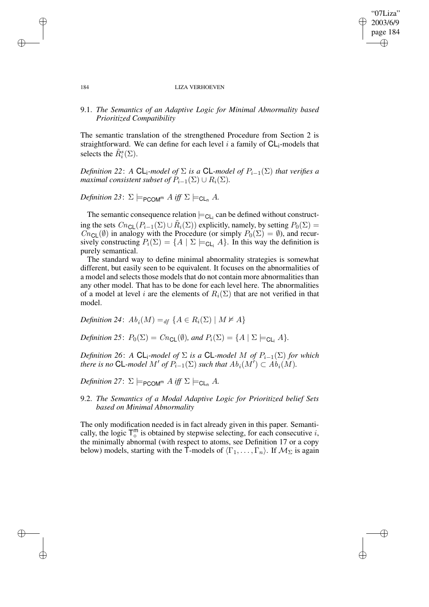✐

### 184 LIZA VERHOEVEN

# 9.1. *The Semantics of an Adaptive Logic for Minimal Abnormality based Prioritized Compatibility*

The semantic translation of the strengthened Procedure from Section 2 is straightforward. We can define for each level  $i$  a family of  $CL_i$ -models that selects the  $\tilde{R}_i^s(\Sigma)$ .

*Definition* 22: *A* CL<sub>i</sub>-model of  $\Sigma$  *is a* CL-model of  $P_{i-1}(\Sigma)$  that verifies a *maximal consistent subset of*  $P_{i-1}(\Sigma) \cup R_i(\Sigma)$ .

*Definition* 23:  $\Sigma \models_{\mathsf{PCOM}} M \text{ iff } \Sigma \models_{\mathsf{CL}} A$ .

The semantic consequence relation  $\models_{\mathsf{CL}_{i}}$  can be defined without constructing the sets  $Cn_{\mathsf{CL}}(P_{i-1}(\Sigma) \cup \tilde{R}_i(\Sigma))$  explicitly, namely, by setting  $P_0(\Sigma) =$  $\overline{Cn}_{\text{CL}}(\emptyset)$  in analogy with the Procedure (or simply  $P_0(\Sigma) = \emptyset$ ), and recursively constructing  $P_i(\Sigma) = \{A \mid \Sigma \models_{\mathsf{CL}_i} A\}$ . In this way the definition is purely semantical.

The standard way to define minimal abnormality strategies is somewhat different, but easily seen to be equivalent. It focuses on the abnormalities of a model and selects those models that do not contain more abnormalities than any other model. That has to be done for each level here. The abnormalities of a model at level i are the elements of  $R_i(\Sigma)$  that are not verified in that model.

*Definition* 24:  $Ab_i(M) =_{df} \{A \in R_i(\Sigma) \mid M \nvDash A\}$ 

*Definition* 25:  $P_0(\Sigma) = Cn_{\text{Cl}}(\emptyset)$ *, and*  $P_i(\Sigma) = \{A \mid \Sigma \models_{\text{Cl}} A\}.$ 

 $Definition 26$ : *A*  $CL$ <sub>*i</sub>-model of*  $\Sigma$  *is a*  $CL$ *-model*  $M$  *of*  $P_{i-1}(\Sigma)$  *for which*</sub> *there is no* CL-*model*  $M'$  *of*  $P_{i-1}(\Sigma)$  *such that*  $Ab_i(M') \subset Ab_i(M)$ *.* 

*Definition* 27:  $\Sigma \models_{\mathsf{PCOM}} M$  *iff*  $\Sigma \models_{\mathsf{CL}_n} A$ .

9.2. *The Semantics of a Modal Adaptive Logic for Prioritized belief Sets based on Minimal Abnormality*

The only modification needed is in fact already given in this paper. Semantically, the logic  $T_c^m$  is obtained by stepwise selecting, for each consecutive i, the minimally abnormal (with respect to atoms, see Definition 17 or a copy below) models, starting with the T-models of  $\langle \Gamma_1, \ldots, \Gamma_n \rangle$ . If  $\mathcal{M}_{\Sigma}$  is again

✐

✐

✐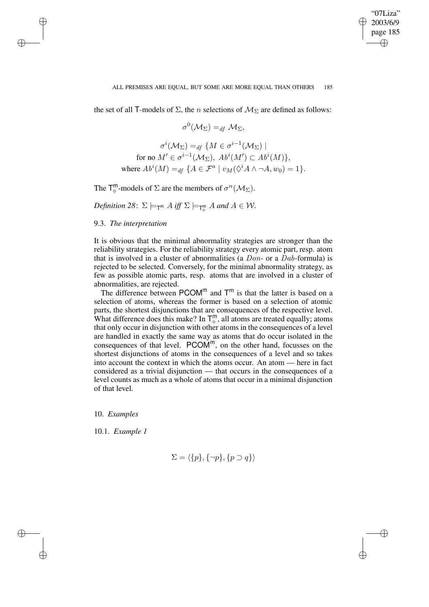✐

the set of all T-models of  $\Sigma$ , the *n* selections of  $\mathcal{M}_{\Sigma}$  are defined as follows:

$$
\sigma^0(\mathcal{M}_{\Sigma}) =_{df} \mathcal{M}_{\Sigma},
$$

$$
\sigma^{i}(\mathcal{M}_{\Sigma}) =_{df} \{ M \in \sigma^{i-1}(\mathcal{M}_{\Sigma}) \mid
$$
  
for no  $M' \in \sigma^{i-1}(\mathcal{M}_{\Sigma}), Ab^{i}(M') \subset Ab^{i}(M)\},$   
where  $Ab^{i}(M) =_{df} \{ A \in \mathcal{F}^{a} \mid v_{M}(\Diamond^{i} A \land \neg A, w_{0}) = 1 \}.$ 

The  $\mathsf{T}_{\diamond}^{\mathsf{m}}$ -models of  $\Sigma$  are the members of  $\sigma^{n}(\mathcal{M}_{\Sigma})$ .

*Definition* 28:  $\Sigma \models_{\mathsf{T}^{\mathsf{m}}} A$  *iff*  $\Sigma \models_{\mathsf{T}_\diamond^{\mathsf{m}}} A$  and  $A \in \mathcal{W}$ .

9.3. *The interpretation*

✐

✐

✐

✐

It is obvious that the minimal abnormality strategies are stronger than the reliability strategies. For the reliability strategy every atomic part, resp. atom that is involved in a cluster of abnormalities (a  $Don-$  or a  $Dab$ -formula) is rejected to be selected. Conversely, for the minimal abnormality strategy, as few as possible atomic parts, resp. atoms that are involved in a cluster of abnormalities, are rejected.

The difference between  $PCOM^{m}$  and  $T^{m}$  is that the latter is based on a selection of atoms, whereas the former is based on a selection of atomic parts, the shortest disjunctions that are consequences of the respective level. What difference does this make? In  $T_{\circ}^{m}$ , all atoms are treated equally; atoms that only occur in disjunction with other atoms in the consequences of a level are handled in exactly the same way as atoms that do occur isolated in the consequences of that level.  $PCOM^m$ , on the other hand, focusses on the shortest disjunctions of atoms in the consequences of a level and so takes into account the context in which the atoms occur. An atom — here in fact considered as a trivial disjunction — that occurs in the consequences of a level counts as much as a whole of atoms that occur in a minimal disjunction of that level.

10. *Examples*

10.1. *Example 1*

$$
\Sigma = \langle \{p\}, \{\neg p\}, \{p \supset q\} \rangle
$$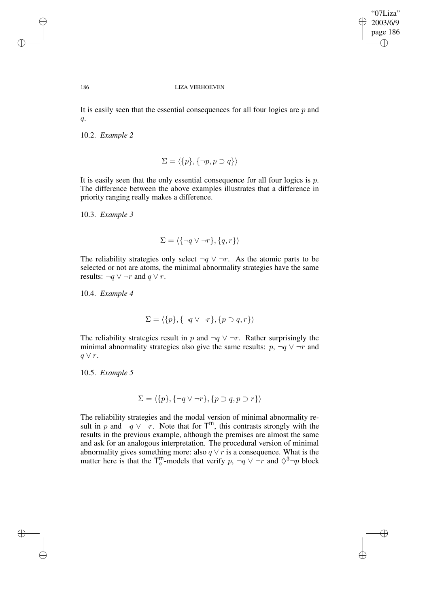✐

### 186 LIZA VERHOEVEN

It is easily seen that the essential consequences for all four logics are  $p$  and  $q$ .

10.2. *Example 2*

$$
\Sigma = \langle \{p\}, \{\neg p, p \supset q\} \rangle
$$

It is easily seen that the only essential consequence for all four logics is  $p$ . The difference between the above examples illustrates that a difference in priority ranging really makes a difference.

10.3. *Example 3*

$$
\Sigma = \langle \{\neg q \vee \neg r\}, \{q, r\} \rangle
$$

The reliability strategies only select  $\neg q \lor \neg r$ . As the atomic parts to be selected or not are atoms, the minimal abnormality strategies have the same results:  $\neg q \lor \neg r$  and  $q \lor r$ .

10.4. *Example 4*

$$
\Sigma = \langle \{p\}, \{\neg q \lor \neg r\}, \{p \supset q, r\} \rangle
$$

The reliability strategies result in p and  $\neg q \lor \neg r$ . Rather surprisingly the minimal abnormality strategies also give the same results:  $p, \neg q \lor \neg r$  and  $q \vee r$ .

10.5. *Example 5*

$$
\Sigma = \langle \{p\}, \{\neg q \lor \neg r\}, \{p \supset q, p \supset r\} \rangle
$$

The reliability strategies and the modal version of minimal abnormality result in p and  $\neg q \lor \neg r$ . Note that for  $T^m$ , this contrasts strongly with the results in the previous example, although the premises are almost the same and ask for an analogous interpretation. The procedural version of minimal abnormality gives something more: also  $q \vee r$  is a consequence. What is the matter here is that the  $\mathsf{T}_{\diamond}^{\mathsf{m}}$ -models that verify  $p, \neg q \lor \neg r$  and  $\Diamond^3 \neg p$  block

✐

✐

✐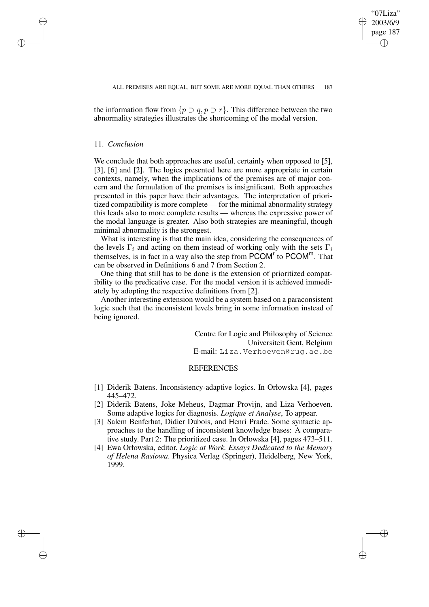✐

the information flow from  $\{p \supset q, p \supset r\}$ . This difference between the two abnormality strategies illustrates the shortcoming of the modal version.

## 11. *Conclusion*

✐

✐

✐

✐

We conclude that both approaches are useful, certainly when opposed to [5], [3], [6] and [2]. The logics presented here are more appropriate in certain contexts, namely, when the implications of the premises are of major concern and the formulation of the premises is insignificant. Both approaches presented in this paper have their advantages. The interpretation of prioritized compatibility is more complete — for the minimal abnormality strategy this leads also to more complete results — whereas the expressive power of the modal language is greater. Also both strategies are meaningful, though minimal abnormality is the strongest.

What is interesting is that the main idea, considering the consequences of the levels  $\Gamma_i$  and acting on them instead of working only with the sets  $\Gamma_i$ themselves, is in fact in a way also the step from  $\mathsf{PCOM}^r$  to  $\mathsf{PCOM}^m$ . That can be observed in Definitions 6 and 7 from Section 2.

One thing that still has to be done is the extension of prioritized compatibility to the predicative case. For the modal version it is achieved immediately by adopting the respective definitions from [2].

Another interesting extension would be a system based on a paraconsistent logic such that the inconsistent levels bring in some information instead of being ignored.

> Centre for Logic and Philosophy of Science Universiteit Gent, Belgium E-mail: Liza.Verhoeven@rug.ac.be

### **REFERENCES**

- [1] Diderik Batens. Inconsistency-adaptive logics. In Orłowska [4], pages 445–472.
- [2] Diderik Batens, Joke Meheus, Dagmar Provijn, and Liza Verhoeven. Some adaptive logics for diagnosis. *Logique et Analyse*, To appear.
- [3] Salem Benferhat, Didier Dubois, and Henri Prade. Some syntactic approaches to the handling of inconsistent knowledge bases: A comparative study. Part 2: The prioritized case. In Orłowska [4], pages 473–511.
- [4] Ewa Orłowska, editor. *Logic at Work. Essays Dedicated to the Memory of Helena Rasiowa*. Physica Verlag (Springer), Heidelberg, New York, 1999.